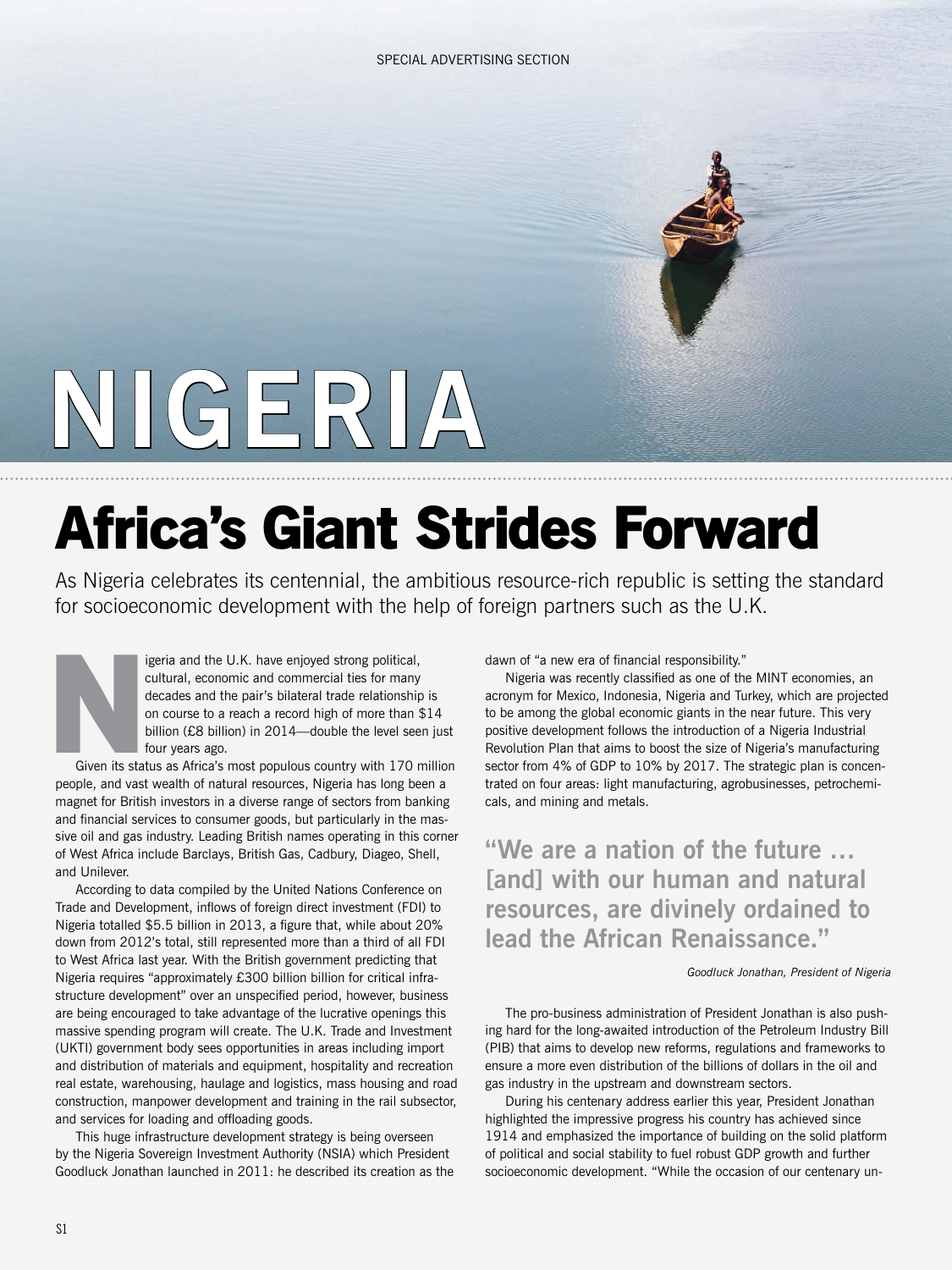# **NIGERIA**

## **Africa's Giant Strides Forward**

As Nigeria celebrates its centennial, the ambitious resource-rich republic is setting the standard for socioeconomic development with the help of foreign partners such as the U.K.

> igeria and the U.K. have enjoyed strong political, cultural, economic and commercial ties for many decades and the pair's bilateral trade relationship is on course to a reach a record high of more than \$14 billion (£8 billion) in 2014—double the level seen just four years ago.

Given its status as Africa's most populous country with 170 million people, and vast wealth of natural resources, Nigeria has long been a magnet for British investors in a diverse range of sectors from banking and financial services to consumer goods, but particularly in the massive oil and gas industry. Leading British names operating in this corner of West Africa include Barclays, British Gas, Cadbury, Diageo, Shell, and Unilever. **N**<br>Given its sta

According to data compiled by the United Nations Conference on Trade and Development, inflows of foreign direct investment (FDI) to Nigeria totalled \$5.5 billion in 2013, a figure that, while about 20% down from 2012's total, still represented more than a third of all FDI to West Africa last year. With the British government predicting that Nigeria requires "approximately £300 billion billion for critical infrastructure development" over an unspecified period, however, business are being encouraged to take advantage of the lucrative openings this massive spending program will create. The U.K. Trade and Investment (UKTI) government body sees opportunities in areas including import and distribution of materials and equipment, hospitality and recreation real estate, warehousing, haulage and logistics, mass housing and road construction, manpower development and training in the rail subsector, and services for loading and offloading goods.

This huge infrastructure development strategy is being overseen by the Nigeria Sovereign Investment Authority (NSIA) which President Goodluck Jonathan launched in 2011: he described its creation as the dawn of "a new era of financial responsibility."

Nigeria was recently classified as one of the MINT economies, an acronym for Mexico, Indonesia, Nigeria and Turkey, which are projected to be among the global economic giants in the near future. This very positive development follows the introduction of a Nigeria Industrial Revolution Plan that aims to boost the size of Nigeria's manufacturing sector from 4% of GDP to 10% by 2017. The strategic plan is concentrated on four areas: light manufacturing, agrobusinesses, petrochemicals, and mining and metals.

**"We are a nation of the future … [and] with our human and natural resources, are divinely ordained to lead the African Renaissance."** 

#### *Goodluck Jonathan, President of Nigeria*

The pro-business administration of President Jonathan is also pushing hard for the long-awaited introduction of the Petroleum Industry Bill (PIB) that aims to develop new reforms, regulations and frameworks to ensure a more even distribution of the billions of dollars in the oil and gas industry in the upstream and downstream sectors.

During his centenary address earlier this year, President Jonathan highlighted the impressive progress his country has achieved since 1914 and emphasized the importance of building on the solid platform of political and social stability to fuel robust GDP growth and further socioeconomic development. "While the occasion of our centenary un-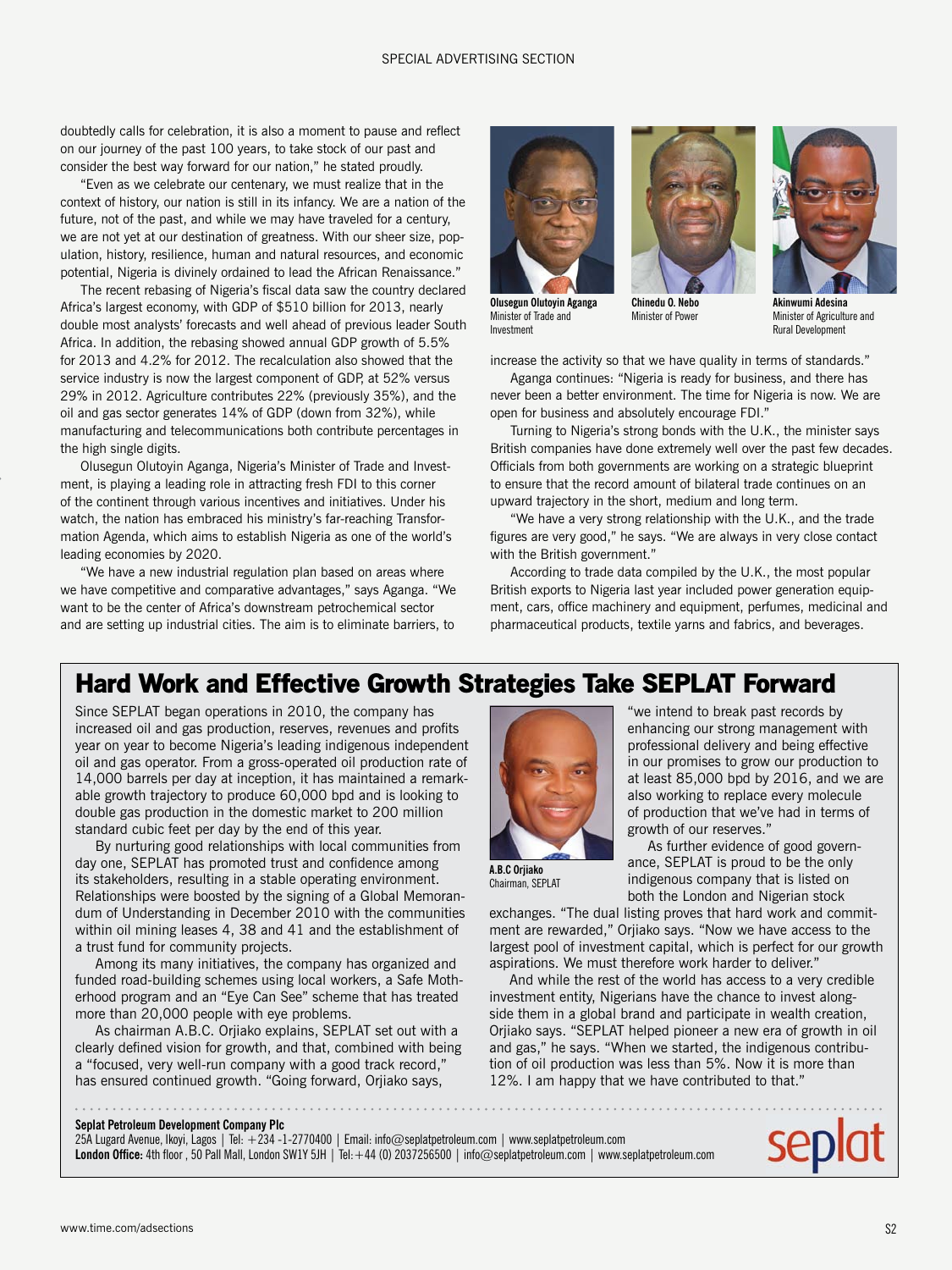#### SPECIAL ADVERTISING SECTION

doubtedly calls for celebration, it is also a moment to pause and reflect on our journey of the past 100 years, to take stock of our past and consider the best way forward for our nation," he stated proudly.

"Even as we celebrate our centenary, we must realize that in the context of history, our nation is still in its infancy. We are a nation of the future, not of the past, and while we may have traveled for a century, we are not yet at our destination of greatness. With our sheer size, population, history, resilience, human and natural resources, and economic potential, Nigeria is divinely ordained to lead the African Renaissance."

The recent rebasing of Nigeria's fiscal data saw the country declared Africa's largest economy, with GDP of \$510 billion for 2013, nearly double most analysts' forecasts and well ahead of previous leader South Africa. In addition, the rebasing showed annual GDP growth of 5.5% for 2013 and 4.2% for 2012. The recalculation also showed that the service industry is now the largest component of GDP, at 52% versus 29% in 2012. Agriculture contributes 22% (previously 35%), and the oil and gas sector generates 14% of GDP (down from 32%), while manufacturing and telecommunications both contribute percentages in the high single digits.

Olusegun Olutoyin Aganga, Nigeria's Minister of Trade and Investment, is playing a leading role in attracting fresh FDI to this corner of the continent through various incentives and initiatives. Under his watch, the nation has embraced his ministry's far-reaching Transformation Agenda, which aims to establish Nigeria as one of the world's leading economies by 2020.

"We have a new industrial regulation plan based on areas where we have competitive and comparative advantages," says Aganga. "We want to be the center of Africa's downstream petrochemical sector and are setting up industrial cities. The aim is to eliminate barriers, to



Minister of Trade and Investment



**Olusegun Olutoyin Aganga Chinedu O. Nebo** Minister of Power

**Akinwumi Adesina** Minister of Agriculture and Rural Development

increase the activity so that we have quality in terms of standards." Aganga continues: "Nigeria is ready for business, and there has never been a better environment. The time for Nigeria is now. We are

open for business and absolutely encourage FDI." Turning to Nigeria's strong bonds with the U.K., the minister says British companies have done extremely well over the past few decades. Officials from both governments are working on a strategic blueprint to ensure that the record amount of bilateral trade continues on an upward trajectory in the short, medium and long term.

"We have a very strong relationship with the U.K., and the trade figures are very good," he says. "We are always in very close contact with the British government."

According to trade data compiled by the U.K., the most popular British exports to Nigeria last year included power generation equipment, cars, office machinery and equipment, perfumes, medicinal and pharmaceutical products, textile yarns and fabrics, and beverages.

## **Hard Work and Effective Growth Strategies Take SEPLAT Forward**

Since SEPLAT began operations in 2010, the company has increased oil and gas production, reserves, revenues and profits year on year to become Nigeria's leading indigenous independent oil and gas operator. From a gross-operated oil production rate of 14,000 barrels per day at inception, it has maintained a remarkable growth trajectory to produce 60,000 bpd and is looking to double gas production in the domestic market to 200 million standard cubic feet per day by the end of this year.

By nurturing good relationships with local communities from day one, SEPLAT has promoted trust and confidence among its stakeholders, resulting in a stable operating environment. Relationships were boosted by the signing of a Global Memorandum of Understanding in December 2010 with the communities within oil mining leases 4, 38 and 41 and the establishment of a trust fund for community projects.

Among its many initiatives, the company has organized and funded road-building schemes using local workers, a Safe Motherhood program and an "Eye Can See" scheme that has treated more than 20,000 people with eye problems.

As chairman A.B.C. Orjiako explains, SEPLAT set out with a clearly defined vision for growth, and that, combined with being a "focused, very well-run company with a good track record," has ensured continued growth. "Going forward, Orjiako says,



"we intend to break past records by enhancing our strong management with professional delivery and being effective in our promises to grow our production to at least 85,000 bpd by 2016, and we are also working to replace every molecule of production that we've had in terms of growth of our reserves."

As further evidence of good governance, SEPLAT is proud to be the only indigenous company that is listed on both the London and Nigerian stock

**A.B.C Orjiako** Chairman, SEPLAT

exchanges. "The dual listing proves that hard work and commitment are rewarded," Orjiako says. "Now we have access to the largest pool of investment capital, which is perfect for our growth aspirations. We must therefore work harder to deliver."

And while the rest of the world has access to a very credible investment entity, Nigerians have the chance to invest alongside them in a global brand and participate in wealth creation, Orjiako says. "SEPLAT helped pioneer a new era of growth in oil and gas," he says. "When we started, the indigenous contribution of oil production was less than 5%. Now it is more than 12%. I am happy that we have contributed to that."

#### **Seplat Petroleum Development Company Plc**

25A Lugard Avenue, Ikoyi, Lagos | Tel: +234 -1-2770400 | Email: info@seplatpetroleum.com | www.seplatpetroleum.com London Office: 4th floor, 50 Pall Mall, London SW1Y 5JH | Tel: +44 (0) 2037256500 | info@seplatpetroleum.com | www.seplatpetroleum.com

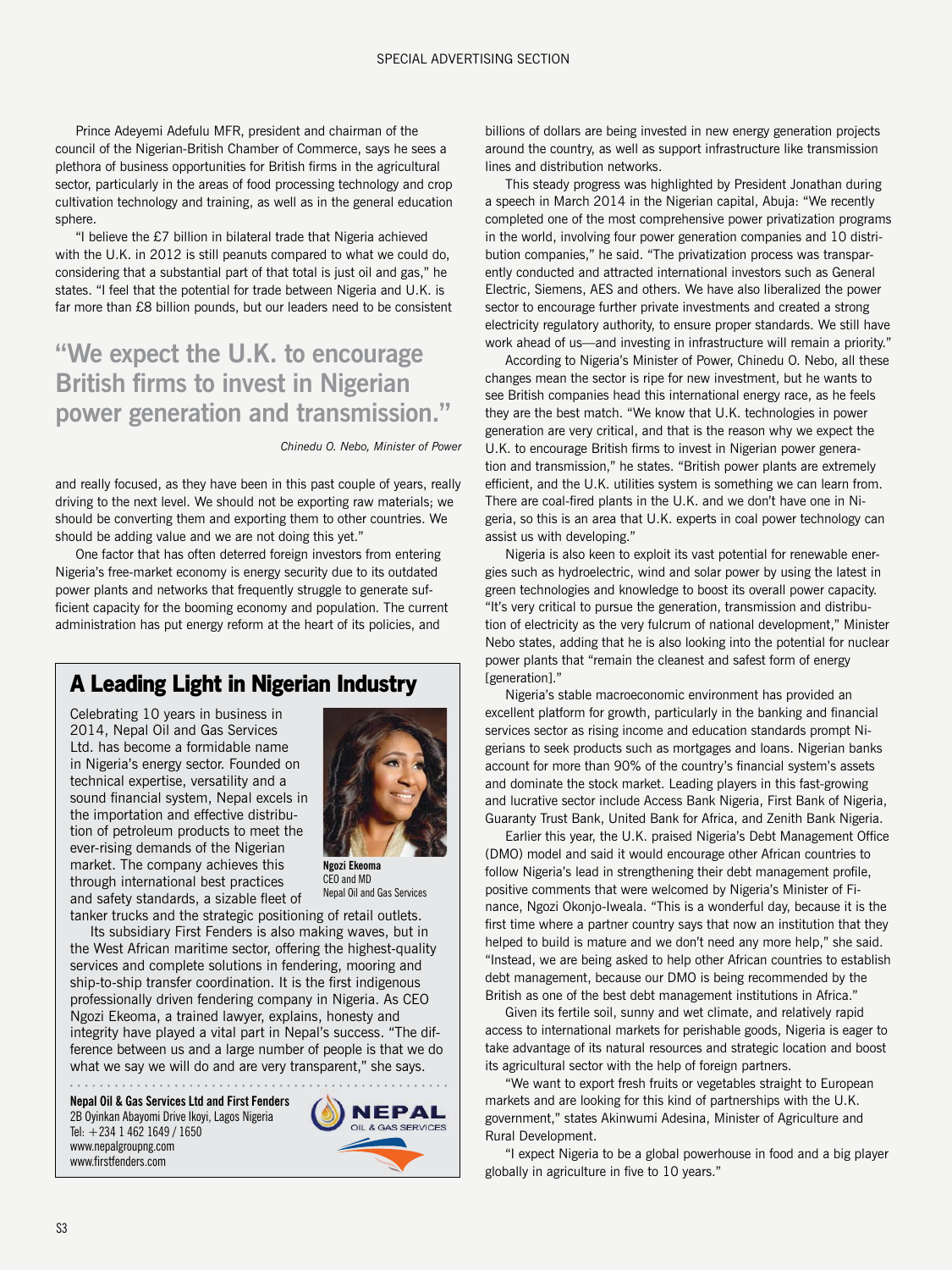Prince Adeyemi Adefulu MFR, president and chairman of the council of the Nigerian-British Chamber of Commerce, says he sees a plethora of business opportunities for British firms in the agricultural sector, particularly in the areas of food processing technology and crop cultivation technology and training, as well as in the general education sphere.

"I believe the £7 billion in bilateral trade that Nigeria achieved with the U.K. in 2012 is still peanuts compared to what we could do, considering that a substantial part of that total is just oil and gas," he states. "I feel that the potential for trade between Nigeria and U.K. is far more than £8 billion pounds, but our leaders need to be consistent

## **"We expect the U.K. to encourage British firms to invest in Nigerian power generation and transmission."**

#### *Chinedu O. Nebo, Minister of Power*

and really focused, as they have been in this past couple of years, really driving to the next level. We should not be exporting raw materials; we should be converting them and exporting them to other countries. We should be adding value and we are not doing this yet."

One factor that has often deterred foreign investors from entering Nigeria's free-market economy is energy security due to its outdated power plants and networks that frequently struggle to generate sufficient capacity for the booming economy and population. The current administration has put energy reform at the heart of its policies, and

## **A Leading Light in Nigerian Industry**

Celebrating 10 years in business in 2014, Nepal Oil and Gas Services Ltd. has become a formidable name in Nigeria's energy sector. Founded on technical expertise, versatility and a sound financial system, Nepal excels in the importation and effective distribution of petroleum products to meet the ever-rising demands of the Nigerian market. The company achieves this through international best practices and safety standards, a sizable fleet of



**Ngozi Ekeoma** CEO and MD Nepal Oil and Gas Services

tanker trucks and the strategic positioning of retail outlets. Its subsidiary First Fenders is also making waves, but in the West African maritime sector, offering the highest-quality services and complete solutions in fendering, mooring and ship-to-ship transfer coordination. It is the first indigenous professionally driven fendering company in Nigeria. As CEO Ngozi Ekeoma, a trained lawyer, explains, honesty and integrity have played a vital part in Nepal's success. "The difference between us and a large number of people is that we do what we say we will do and are very transparent," she says.

**Nepal Oil & Gas Services Ltd and First Fenders** 2B Oyinkan Abayomi Drive Ikoyi, Lagos Nigeria Tel: +234 1 462 1649 / 1650 www.nepalgroupng.com www.firstfenders.com



billions of dollars are being invested in new energy generation projects around the country, as well as support infrastructure like transmission lines and distribution networks.

This steady progress was highlighted by President Jonathan during a speech in March 2014 in the Nigerian capital, Abuja: "We recently completed one of the most comprehensive power privatization programs in the world, involving four power generation companies and 10 distribution companies," he said. "The privatization process was transparently conducted and attracted international investors such as General Electric, Siemens, AES and others. We have also liberalized the power sector to encourage further private investments and created a strong electricity regulatory authority, to ensure proper standards. We still have work ahead of us—and investing in infrastructure will remain a priority."

According to Nigeria's Minister of Power, Chinedu O. Nebo, all these changes mean the sector is ripe for new investment, but he wants to see British companies head this international energy race, as he feels they are the best match. "We know that U.K. technologies in power generation are very critical, and that is the reason why we expect the U.K. to encourage British firms to invest in Nigerian power generation and transmission," he states. "British power plants are extremely efficient, and the U.K. utilities system is something we can learn from. There are coal-fired plants in the U.K. and we don't have one in Nigeria, so this is an area that U.K. experts in coal power technology can assist us with developing."

Nigeria is also keen to exploit its vast potential for renewable energies such as hydroelectric, wind and solar power by using the latest in green technologies and knowledge to boost its overall power capacity. "It's very critical to pursue the generation, transmission and distribution of electricity as the very fulcrum of national development," Minister Nebo states, adding that he is also looking into the potential for nuclear power plants that "remain the cleanest and safest form of energy [generation]."

Nigeria's stable macroeconomic environment has provided an excellent platform for growth, particularly in the banking and financial services sector as rising income and education standards prompt Nigerians to seek products such as mortgages and loans. Nigerian banks account for more than 90% of the country's financial system's assets and dominate the stock market. Leading players in this fast-growing and lucrative sector include Access Bank Nigeria, First Bank of Nigeria, Guaranty Trust Bank, United Bank for Africa, and Zenith Bank Nigeria.

Earlier this year, the U.K. praised Nigeria's Debt Management Office (DMO) model and said it would encourage other African countries to follow Nigeria's lead in strengthening their debt management profile, positive comments that were welcomed by Nigeria's Minister of Finance, Ngozi Okonjo-Iweala. "This is a wonderful day, because it is the first time where a partner country says that now an institution that they helped to build is mature and we don't need any more help," she said. "Instead, we are being asked to help other African countries to establish debt management, because our DMO is being recommended by the British as one of the best debt management institutions in Africa."

Given its fertile soil, sunny and wet climate, and relatively rapid access to international markets for perishable goods, Nigeria is eager to take advantage of its natural resources and strategic location and boost its agricultural sector with the help of foreign partners.

"We want to export fresh fruits or vegetables straight to European markets and are looking for this kind of partnerships with the U.K. government," states Akinwumi Adesina, Minister of Agriculture and Rural Development.

"I expect Nigeria to be a global powerhouse in food and a big player globally in agriculture in five to 10 years."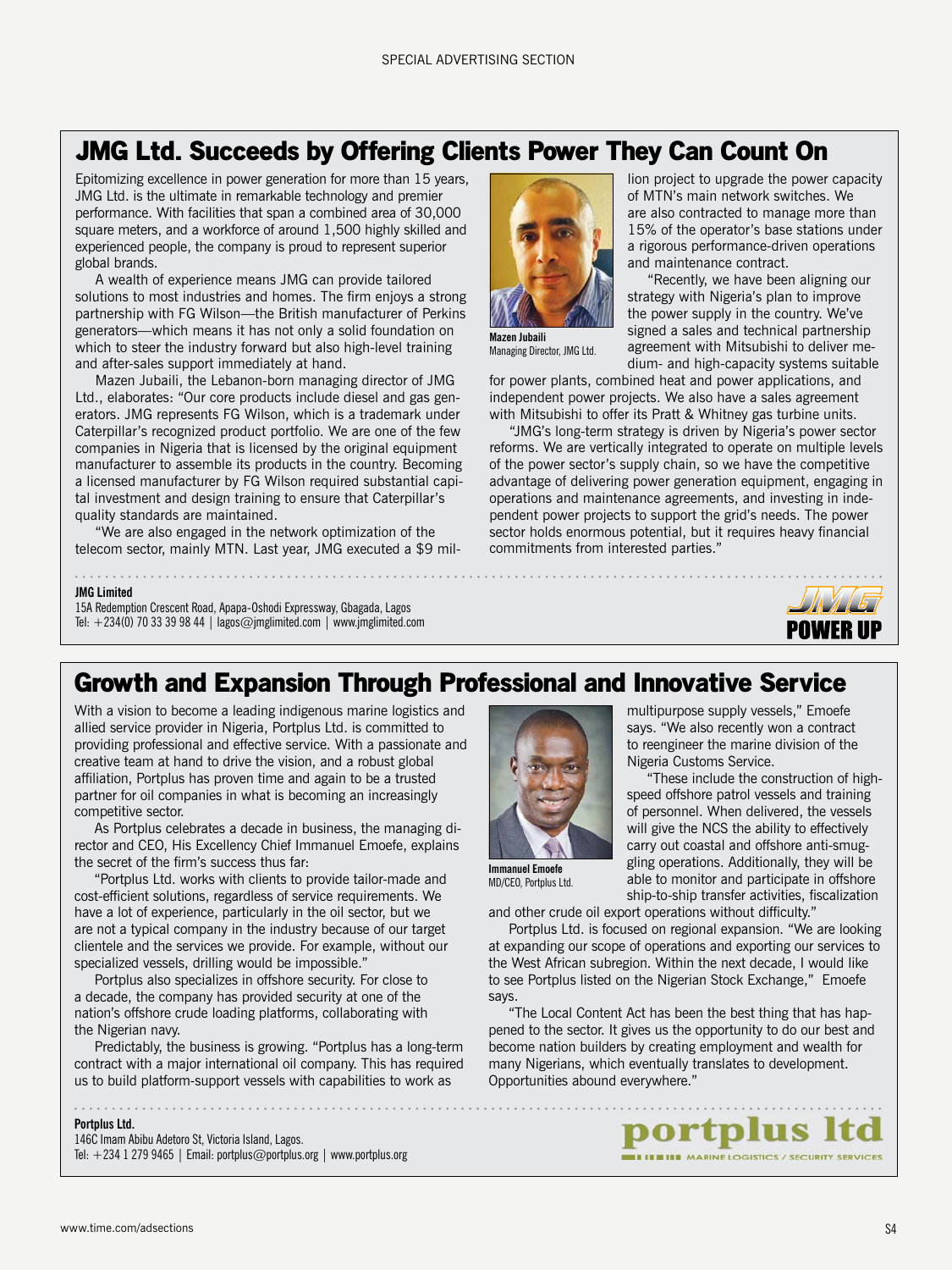## **JMG Ltd. Succeeds by Offering Clients Power They Can Count On**

Epitomizing excellence in power generation for more than 15 years, JMG Ltd. is the ultimate in remarkable technology and premier performance. With facilities that span a combined area of 30,000 square meters, and a workforce of around 1,500 highly skilled and experienced people, the company is proud to represent superior global brands.

A wealth of experience means JMG can provide tailored solutions to most industries and homes. The firm enjoys a strong partnership with FG Wilson—the British manufacturer of Perkins generators—which means it has not only a solid foundation on which to steer the industry forward but also high-level training and after-sales support immediately at hand.

Mazen Jubaili, the Lebanon-born managing director of JMG Ltd., elaborates: "Our core products include diesel and gas generators. JMG represents FG Wilson, which is a trademark under Caterpillar's recognized product portfolio. We are one of the few companies in Nigeria that is licensed by the original equipment manufacturer to assemble its products in the country. Becoming a licensed manufacturer by FG Wilson required substantial capital investment and design training to ensure that Caterpillar's quality standards are maintained.

"We are also engaged in the network optimization of the telecom sector, mainly MTN. Last year, JMG executed a \$9 mil-

lion project to upgrade the power capacity of MTN's main network switches. We are also contracted to manage more than 15% of the operator's base stations under a rigorous performance-driven operations and maintenance contract.

"Recently, we have been aligning our strategy with Nigeria's plan to improve the power supply in the country. We've signed a sales and technical partnership agreement with Mitsubishi to deliver medium- and high-capacity systems suitable

Managing Director, JMG Ltd.

**Mazen Jubaili**

for power plants, combined heat and power applications, and independent power projects. We also have a sales agreement with Mitsubishi to offer its Pratt & Whitney gas turbine units.

"JMG's long-term strategy is driven by Nigeria's power sector reforms. We are vertically integrated to operate on multiple levels of the power sector's supply chain, so we have the competitive advantage of delivering power generation equipment, engaging in operations and maintenance agreements, and investing in independent power projects to support the grid's needs. The power sector holds enormous potential, but it requires heavy financial commitments from interested parties."



#### **JMG Limited**

15A Redemption Crescent Road, Apapa-Oshodi Expressway, Gbagada, Lagos Tel:  $+234(0)$  70 33 39 98 44 | lagos@jmglimited.com | www.jmglimited.com

## **Growth and Expansion Through Professional and Innovative Service**

With a vision to become a leading indigenous marine logistics and allied service provider in Nigeria, Portplus Ltd. is committed to providing professional and effective service. With a passionate and creative team at hand to drive the vision, and a robust global affiliation, Portplus has proven time and again to be a trusted partner for oil companies in what is becoming an increasingly competitive sector.

As Portplus celebrates a decade in business, the managing director and CEO, His Excellency Chief Immanuel Emoefe, explains the secret of the firm's success thus far:

"Portplus Ltd. works with clients to provide tailor-made and cost-efficient solutions, regardless of service requirements. We have a lot of experience, particularly in the oil sector, but we are not a typical company in the industry because of our target clientele and the services we provide. For example, without our specialized vessels, drilling would be impossible."

Portplus also specializes in offshore security. For close to a decade, the company has provided security at one of the nation's offshore crude loading platforms, collaborating with the Nigerian navy.

Predictably, the business is growing. "Portplus has a long-term contract with a major international oil company. This has required us to build platform-support vessels with capabilities to work as

#### **Portplus Ltd.**

146C Imam Abibu Adetoro St, Victoria Island, Lagos. Tel:  $+234$  1 279 9465 | Email: portplus@portplus.org | www.portplus.org

. . . . . . . . . . . . . . . . .



multipurpose supply vessels," Emoefe says. "We also recently won a contract to reengineer the marine division of the Nigeria Customs Service.

"These include the construction of highspeed offshore patrol vessels and training of personnel. When delivered, the vessels will give the NCS the ability to effectively carry out coastal and offshore anti-smuggling operations. Additionally, they will be able to monitor and participate in offshore ship-to-ship transfer activities, fiscalization

MD/CFO, Portplus Ltd.

and other crude oil export operations without difficulty."

Portplus Ltd. is focused on regional expansion. "We are looking at expanding our scope of operations and exporting our services to the West African subregion. Within the next decade, I would like to see Portplus listed on the Nigerian Stock Exchange," Emoefe says.

"The Local Content Act has been the best thing that has happened to the sector. It gives us the opportunity to do our best and become nation builders by creating employment and wealth for many Nigerians, which eventually translates to development. Opportunities abound everywhere."

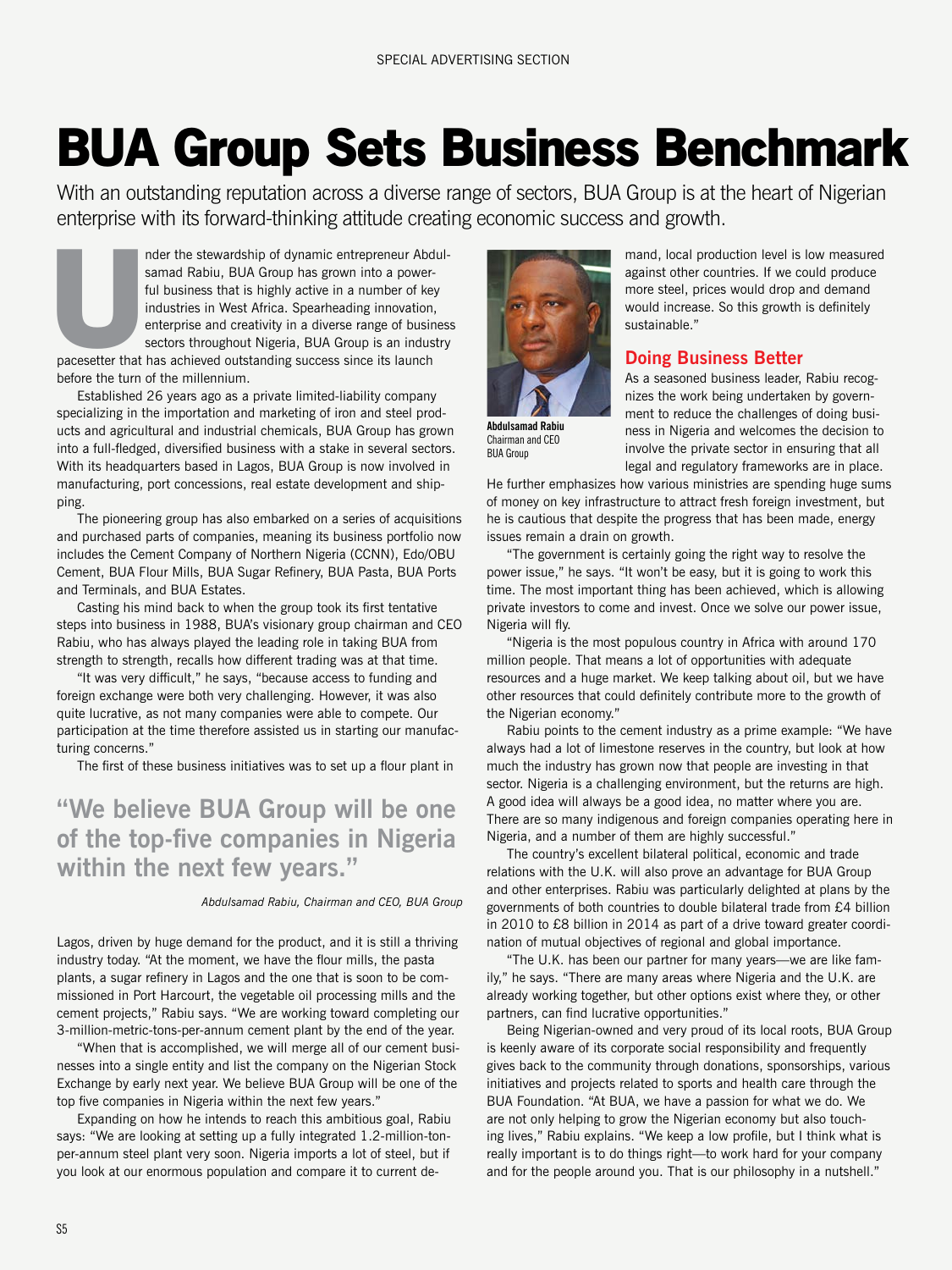## **BUA Group Sets Business Benchmark**

With an outstanding reputation across a diverse range of sectors, BUA Group is at the heart of Nigerian enterprise with its forward-thinking attitude creating economic success and growth.

nder the stewardship of dynamic entrepreneur Abdulsamad Rabiu, BUA Group has grown into a powerful business that is highly active in a number of key industries in West Africa. Spearheading innovation, enterprise and creativity in a diverse range of business sectors throughout Nigeria, BUA Group is an industry pacesetter that has achieved outstanding success since its launch **U**<br>pacesetter that

before the turn of the millennium. Established 26 years ago as a private limited-liability company specializing in the importation and marketing of iron and steel products and agricultural and industrial chemicals, BUA Group has grown

into a full-fledged, diversified business with a stake in several sectors. With its headquarters based in Lagos, BUA Group is now involved in manufacturing, port concessions, real estate development and shipping.

The pioneering group has also embarked on a series of acquisitions and purchased parts of companies, meaning its business portfolio now includes the Cement Company of Northern Nigeria (CCNN), Edo/OBU Cement, BUA Flour Mills, BUA Sugar Refinery, BUA Pasta, BUA Ports and Terminals, and BUA Estates.

Casting his mind back to when the group took its first tentative steps into business in 1988, BUA's visionary group chairman and CEO Rabiu, who has always played the leading role in taking BUA from strength to strength, recalls how different trading was at that time.

"It was very difficult," he says, "because access to funding and foreign exchange were both very challenging. However, it was also quite lucrative, as not many companies were able to compete. Our participation at the time therefore assisted us in starting our manufacturing concerns."

The first of these business initiatives was to set up a flour plant in

## **"We believe BUA Group will be one of the top-five companies in Nigeria within the next few years."**

#### *Abdulsamad Rabiu, Chairman and CEO, BUA Group*

Lagos, driven by huge demand for the product, and it is still a thriving industry today. "At the moment, we have the flour mills, the pasta plants, a sugar refinery in Lagos and the one that is soon to be commissioned in Port Harcourt, the vegetable oil processing mills and the cement projects," Rabiu says. "We are working toward completing our 3-million-metric-tons-per-annum cement plant by the end of the year.

"When that is accomplished, we will merge all of our cement businesses into a single entity and list the company on the Nigerian Stock Exchange by early next year. We believe BUA Group will be one of the top five companies in Nigeria within the next few years."

Expanding on how he intends to reach this ambitious goal, Rabiu says: "We are looking at setting up a fully integrated 1.2-million-tonper-annum steel plant very soon. Nigeria imports a lot of steel, but if you look at our enormous population and compare it to current de-



Chairman and CEO BUA Group

mand, local production level is low measured against other countries. If we could produce more steel, prices would drop and demand would increase. So this growth is definitely sustainable."

### **Doing Business Better**

As a seasoned business leader, Rabiu recognizes the work being undertaken by government to reduce the challenges of doing business in Nigeria and welcomes the decision to involve the private sector in ensuring that all legal and regulatory frameworks are in place.

He further emphasizes how various ministries are spending huge sums of money on key infrastructure to attract fresh foreign investment, but he is cautious that despite the progress that has been made, energy issues remain a drain on growth.

"The government is certainly going the right way to resolve the power issue," he says. "It won't be easy, but it is going to work this time. The most important thing has been achieved, which is allowing private investors to come and invest. Once we solve our power issue, Nigeria will fly.

"Nigeria is the most populous country in Africa with around 170 million people. That means a lot of opportunities with adequate resources and a huge market. We keep talking about oil, but we have other resources that could definitely contribute more to the growth of the Nigerian economy."

Rabiu points to the cement industry as a prime example: "We have always had a lot of limestone reserves in the country, but look at how much the industry has grown now that people are investing in that sector. Nigeria is a challenging environment, but the returns are high. A good idea will always be a good idea, no matter where you are. There are so many indigenous and foreign companies operating here in Nigeria, and a number of them are highly successful."

The country's excellent bilateral political, economic and trade relations with the U.K. will also prove an advantage for BUA Group and other enterprises. Rabiu was particularly delighted at plans by the governments of both countries to double bilateral trade from £4 billion in 2010 to £8 billion in 2014 as part of a drive toward greater coordination of mutual objectives of regional and global importance.

"The U.K. has been our partner for many years—we are like family," he says. "There are many areas where Nigeria and the U.K. are already working together, but other options exist where they, or other partners, can find lucrative opportunities."

Being Nigerian-owned and very proud of its local roots, BUA Group is keenly aware of its corporate social responsibility and frequently gives back to the community through donations, sponsorships, various initiatives and projects related to sports and health care through the BUA Foundation. "At BUA, we have a passion for what we do. We are not only helping to grow the Nigerian economy but also touching lives," Rabiu explains. "We keep a low profile, but I think what is really important is to do things right—to work hard for your company and for the people around you. That is our philosophy in a nutshell."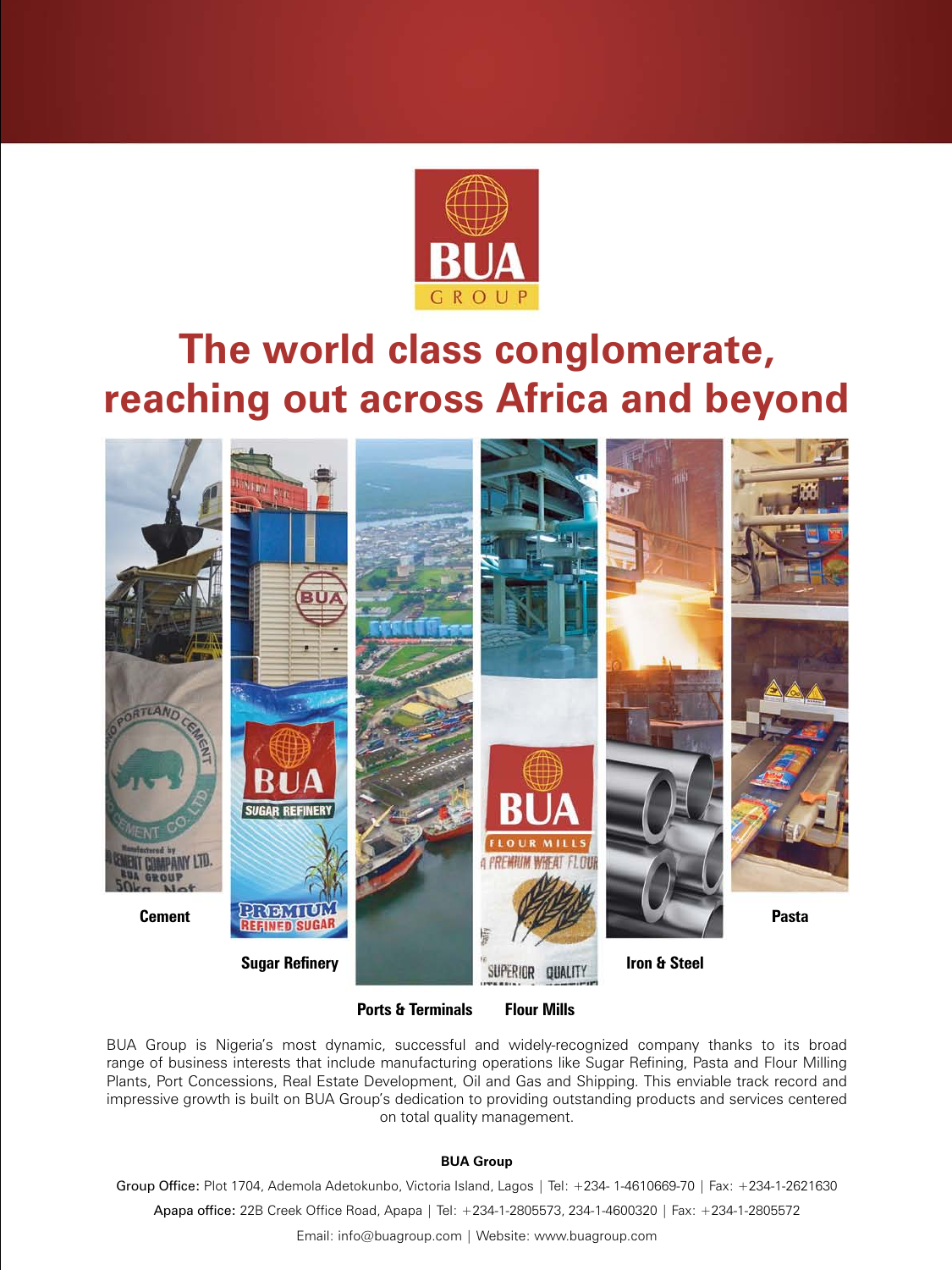

## **The world class conglomerate, reaching out across Africa and beyond**



**Ports & Terminals**

**Flour Mills**

BUA Group is Nigeria's most dynamic, successful and widely-recognized company thanks to its broad range of business interests that include manufacturing operations like Sugar Refining, Pasta and Flour Milling Plants, Port Concessions, Real Estate Development, Oil and Gas and Shipping. This enviable track record and impressive growth is built on BUA Group's dedication to providing outstanding products and services centered on total quality management.

#### **BUA Group**

Group Office: Plot 1704, Ademola Adetokunbo, Victoria Island, Lagos | Tel: +234- 1-4610669-70 | Fax: +234-1-2621630

Apapa office: 22B Creek Office Road, Apapa | Tel: +234-1-2805573, 234-1-4600320 | Fax: +234-1-2805572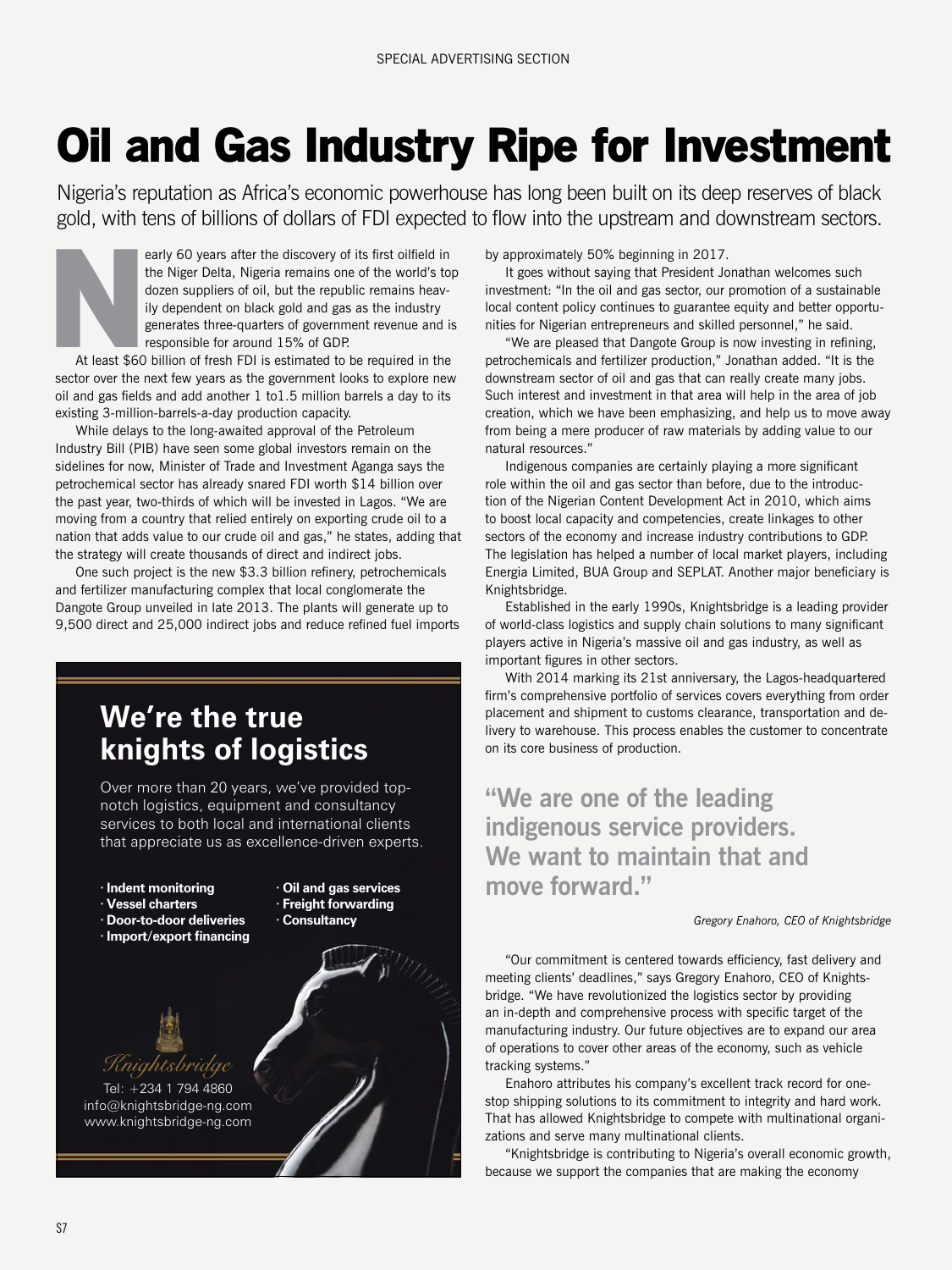## **Oil and Gas Industry Ripe for Investment**

Nigeria's reputation as Africa's economic powerhouse has long been built on its deep reserves of black gold, with tens of billions of dollars of FDI expected to flow into the upstream and downstream sectors.



At least \$60 billion of fresh FDI is estimated to be required in the sector over the next few years as the government looks to explore new oil and gas fields and add another 1 to1.5 million barrels a day to its existing 3-million-barrels-a-day production capacity.

While delays to the long-awaited approval of the Petroleum Industry Bill (PIB) have seen some global investors remain on the sidelines for now, Minister of Trade and Investment Aganga says the petrochemical sector has already snared FDI worth \$14 billion over the past year, two-thirds of which will be invested in Lagos. "We are moving from a country that relied entirely on exporting crude oil to a nation that adds value to our crude oil and gas," he states, adding that the strategy will create thousands of direct and indirect jobs.

One such project is the new \$3.3 billion refinery, petrochemicals and fertilizer manufacturing complex that local conglomerate the Dangote Group unveiled in late 2013. The plants will generate up to 9,500 direct and 25,000 indirect jobs and reduce refined fuel imports

## **We're the true knights of logistics**

Over more than 20 years, we've provided topnotch logistics, equipment and consultancy services to both local and international clients that appreciate us as excellence-driven experts.

**· Indent monitoring**

- **· Vessel charters**
- **· Door-to-door deliveries**
- **· Import/export financing**

**· Oil and gas services · Freight forwarding**

**· Consultancy**



Tel: +234 1 794 4860 info@knightsbridge-ng.com www.knightsbridge-ng.com

by approximately 50% beginning in 2017.

It goes without saying that President Jonathan welcomes such investment: "In the oil and gas sector, our promotion of a sustainable local content policy continues to guarantee equity and better opportunities for Nigerian entrepreneurs and skilled personnel," he said.

"We are pleased that Dangote Group is now investing in refining, petrochemicals and fertilizer production," Jonathan added. "It is the downstream sector of oil and gas that can really create many jobs. Such interest and investment in that area will help in the area of job creation, which we have been emphasizing, and help us to move away from being a mere producer of raw materials by adding value to our natural resources."

Indigenous companies are certainly playing a more significant role within the oil and gas sector than before, due to the introduction of the Nigerian Content Development Act in 2010, which aims to boost local capacity and competencies, create linkages to other sectors of the economy and increase industry contributions to GDP. The legislation has helped a number of local market players, including Energia Limited, BUA Group and SEPLAT. Another major beneficiary is Knightsbridge.

Established in the early 1990s, Knightsbridge is a leading provider of world-class logistics and supply chain solutions to many significant players active in Nigeria's massive oil and gas industry, as well as important figures in other sectors.

With 2014 marking its 21st anniversary, the Lagos-headquartered firm's comprehensive portfolio of services covers everything from order placement and shipment to customs clearance, transportation and delivery to warehouse. This process enables the customer to concentrate on its core business of production.

**"We are one of the leading indigenous service providers. We want to maintain that and move forward."**

#### *Gregory Enahoro, CEO of Knightsbridge*

"Our commitment is centered towards efficiency, fast delivery and meeting clients' deadlines," says Gregory Enahoro, CEO of Knightsbridge. "We have revolutionized the logistics sector by providing an in-depth and comprehensive process with specific target of the manufacturing industry. Our future objectives are to expand our area of operations to cover other areas of the economy, such as vehicle tracking systems."

Enahoro attributes his company's excellent track record for onestop shipping solutions to its commitment to integrity and hard work. That has allowed Knightsbridge to compete with multinational organizations and serve many multinational clients.

"Knightsbridge is contributing to Nigeria's overall economic growth, because we support the companies that are making the economy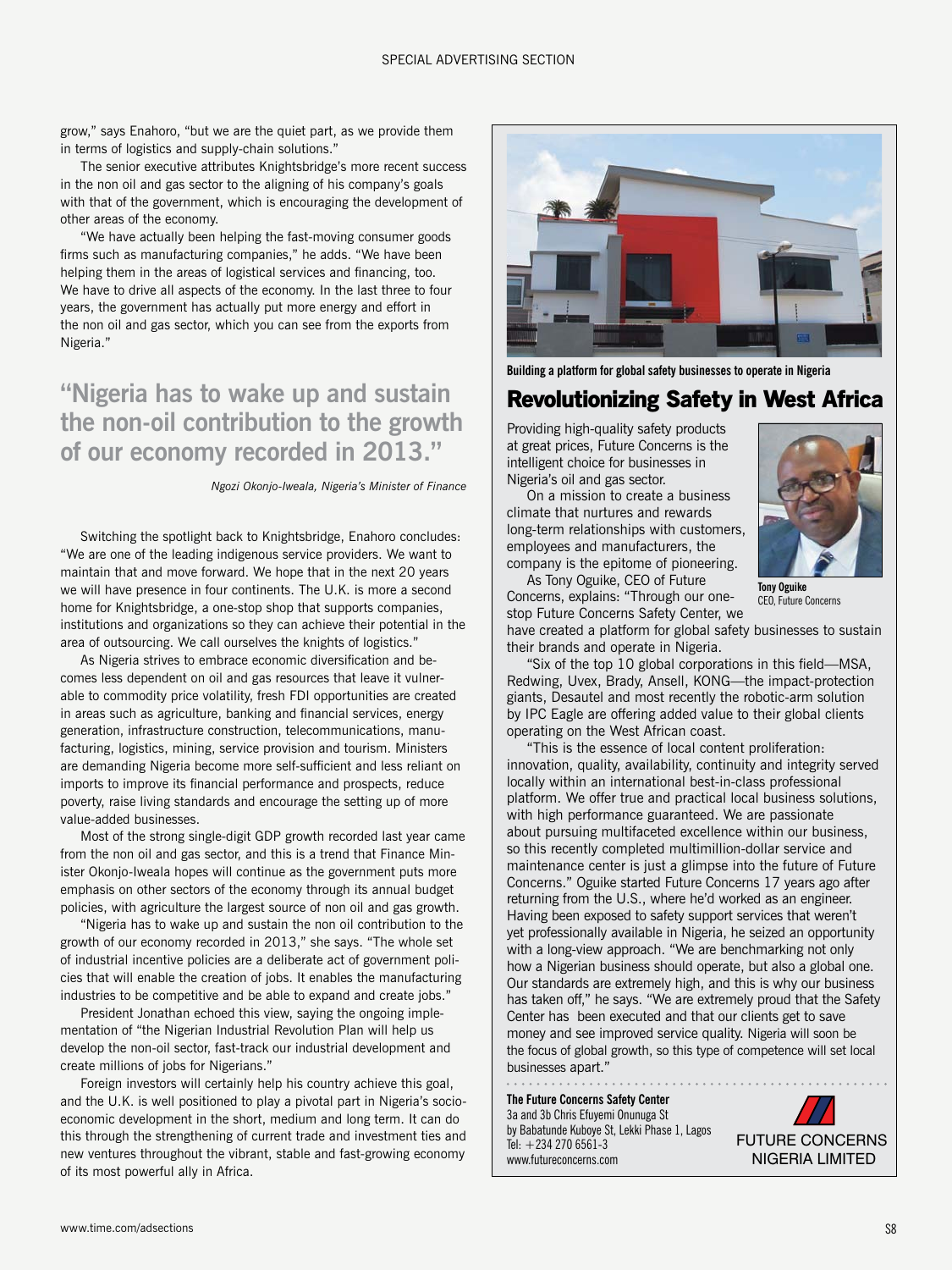grow," says Enahoro, "but we are the quiet part, as we provide them in terms of logistics and supply-chain solutions."

The senior executive attributes Knightsbridge's more recent success in the non oil and gas sector to the aligning of his company's goals with that of the government, which is encouraging the development of other areas of the economy.

"We have actually been helping the fast-moving consumer goods firms such as manufacturing companies," he adds. "We have been helping them in the areas of logistical services and financing, too. We have to drive all aspects of the economy. In the last three to four years, the government has actually put more energy and effort in the non oil and gas sector, which you can see from the exports from Nigeria."

## **"Nigeria has to wake up and sustain the non-oil contribution to the growth of our economy recorded in 2013."**

*Ngozi Okonjo-Iweala, Nigeria's Minister of Finance*

Switching the spotlight back to Knightsbridge, Enahoro concludes: "We are one of the leading indigenous service providers. We want to maintain that and move forward. We hope that in the next 20 years we will have presence in four continents. The U.K. is more a second home for Knightsbridge, a one-stop shop that supports companies, institutions and organizations so they can achieve their potential in the area of outsourcing. We call ourselves the knights of logistics."

As Nigeria strives to embrace economic diversification and becomes less dependent on oil and gas resources that leave it vulnerable to commodity price volatility, fresh FDI opportunities are created in areas such as agriculture, banking and financial services, energy generation, infrastructure construction, telecommunications, manufacturing, logistics, mining, service provision and tourism. Ministers are demanding Nigeria become more self-sufficient and less reliant on imports to improve its financial performance and prospects, reduce poverty, raise living standards and encourage the setting up of more value-added businesses.

Most of the strong single-digit GDP growth recorded last year came from the non oil and gas sector, and this is a trend that Finance Minister Okonjo-Iweala hopes will continue as the government puts more emphasis on other sectors of the economy through its annual budget policies, with agriculture the largest source of non oil and gas growth.

"Nigeria has to wake up and sustain the non oil contribution to the growth of our economy recorded in 2013," she says. "The whole set of industrial incentive policies are a deliberate act of government policies that will enable the creation of jobs. It enables the manufacturing industries to be competitive and be able to expand and create jobs."

President Jonathan echoed this view, saying the ongoing implementation of "the Nigerian Industrial Revolution Plan will help us develop the non-oil sector, fast-track our industrial development and create millions of jobs for Nigerians."

Foreign investors will certainly help his country achieve this goal, and the U.K. is well positioned to play a pivotal part in Nigeria's socioeconomic development in the short, medium and long term. It can do this through the strengthening of current trade and investment ties and new ventures throughout the vibrant, stable and fast-growing economy of its most powerful ally in Africa.



**Building a platform for global safety businesses to operate in Nigeria**

### **Revolutionizing Safety in West Africa**

Providing high-quality safety products at great prices, Future Concerns is the intelligent choice for businesses in Nigeria's oil and gas sector.

On a mission to create a business climate that nurtures and rewards long-term relationships with customers, employees and manufacturers, the company is the epitome of pioneering.



**Tony Oguike** CEO, Future Concerns

As Tony Oguike, CEO of Future Concerns, explains: "Through our onestop Future Concerns Safety Center, we

have created a platform for global safety businesses to sustain their brands and operate in Nigeria.

"Six of the top 10 global corporations in this field—MSA, Redwing, Uvex, Brady, Ansell, KONG—the impact-protection giants, Desautel and most recently the robotic-arm solution by IPC Eagle are offering added value to their global clients operating on the West African coast.

"This is the essence of local content proliferation: innovation, quality, availability, continuity and integrity served locally within an international best-in-class professional platform. We offer true and practical local business solutions, with high performance guaranteed. We are passionate about pursuing multifaceted excellence within our business, so this recently completed multimillion-dollar service and maintenance center is just a glimpse into the future of Future Concerns." Oguike started Future Concerns 17 years ago after returning from the U.S., where he'd worked as an engineer. Having been exposed to safety support services that weren't yet professionally available in Nigeria, he seized an opportunity with a long-view approach. "We are benchmarking not only how a Nigerian business should operate, but also a global one. Our standards are extremely high, and this is why our business has taken off," he says. "We are extremely proud that the Safety Center has been executed and that our clients get to save money and see improved service quality. Nigeria will soon be the focus of global growth, so this type of competence will set local businesses apart."

**The Future Concerns Safety Center** 3a and 3b Chris Efuyemi Onunuga St by Babatunde Kuboye St, Lekki Phase 1, Lagos Tel: +234 270 6561-3 www.futureconcerns.com